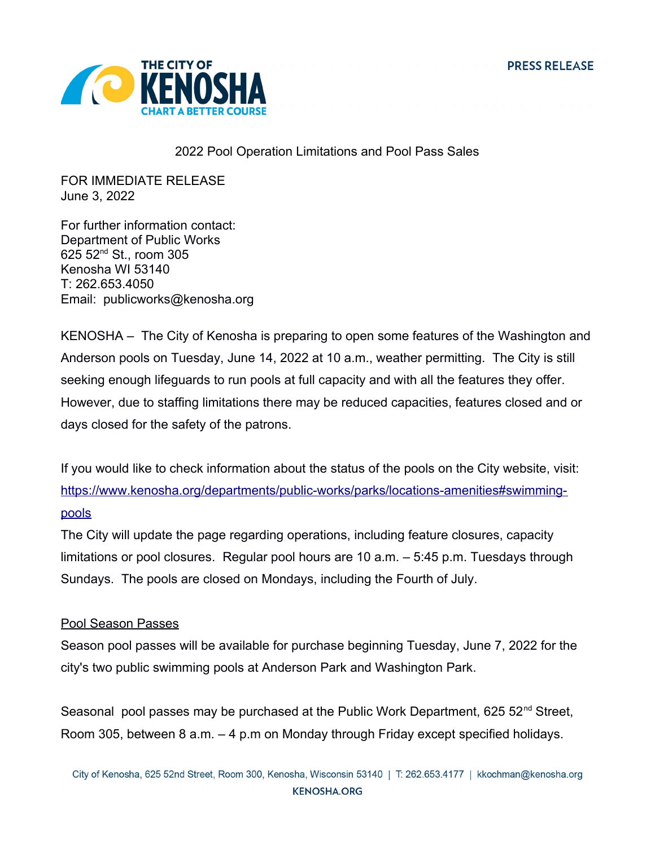

## 2022 Pool Operation Limitations and Pool Pass Sales

FOR IMMEDIATE RELEASE June 3, 2022

For further information contact: Department of Public Works 625 52nd St., room 305 Kenosha WI 53140 T: 262.653.4050 Email: publicworks@kenosha.org

KENOSHA – The City of Kenosha is preparing to open some features of the Washington and Anderson pools on Tuesday, June 14, 2022 at 10 a.m., weather permitting. The City is still seeking enough lifeguards to run pools at full capacity and with all the features they offer. However, due to staffing limitations there may be reduced capacities, features closed and or days closed for the safety of the patrons.

If you would like to check information about the status of the pools on the City website, visit: [https://www.kenosha.org/departments/public-works/parks/locations-amenities#swimming](https://www.kenosha.org/departments/public-works/parks/locations-amenities#swimming-pools)[pools](https://www.kenosha.org/departments/public-works/parks/locations-amenities#swimming-pools)

The City will update the page regarding operations, including feature closures, capacity limitations or pool closures. Regular pool hours are 10 a.m. – 5:45 p.m. Tuesdays through Sundays. The pools are closed on Mondays, including the Fourth of July.

## Pool Season Passes

Season pool passes will be available for purchase beginning Tuesday, June 7, 2022 for the city's two public swimming pools at Anderson Park and Washington Park.

Seasonal pool passes may be purchased at the Public Work Department, 625 52 $^{\text{nd}}$  Street, Room 305, between 8 a.m. – 4 p.m on Monday through Friday except specified holidays.